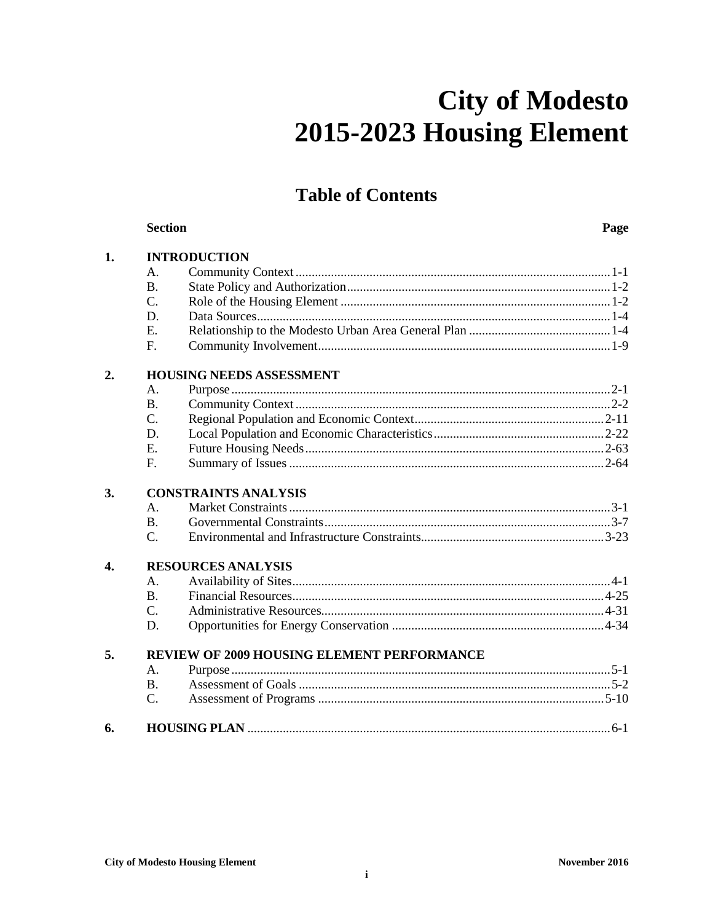# **City of Modesto** 2015-2023 Housing Element

## **Table of Contents**

|                           | <b>Section</b>                             |                     | Page |  |  |  |
|---------------------------|--------------------------------------------|---------------------|------|--|--|--|
| 1.                        |                                            | <b>INTRODUCTION</b> |      |  |  |  |
|                           | A.                                         |                     |      |  |  |  |
|                           | <b>B.</b>                                  |                     |      |  |  |  |
|                           | C.                                         |                     |      |  |  |  |
|                           | D.                                         |                     |      |  |  |  |
|                           | E.                                         |                     |      |  |  |  |
|                           | F.                                         |                     |      |  |  |  |
| 2.                        | <b>HOUSING NEEDS ASSESSMENT</b>            |                     |      |  |  |  |
|                           | A.                                         |                     |      |  |  |  |
|                           | <b>B.</b>                                  |                     |      |  |  |  |
|                           | $\overline{C}$ .                           |                     |      |  |  |  |
|                           | D.                                         |                     |      |  |  |  |
|                           | E.                                         |                     |      |  |  |  |
|                           | F.                                         |                     |      |  |  |  |
| 3.                        | <b>CONSTRAINTS ANALYSIS</b>                |                     |      |  |  |  |
|                           | A.                                         |                     |      |  |  |  |
|                           | B.                                         |                     |      |  |  |  |
|                           | C.                                         |                     |      |  |  |  |
| $\overline{\mathbf{4}}$ . | <b>RESOURCES ANALYSIS</b>                  |                     |      |  |  |  |
|                           | A <sub>1</sub>                             |                     |      |  |  |  |
|                           | B.                                         |                     |      |  |  |  |
|                           | $\overline{C}$ .                           |                     |      |  |  |  |
|                           | D.                                         |                     |      |  |  |  |
| 5.                        | REVIEW OF 2009 HOUSING ELEMENT PERFORMANCE |                     |      |  |  |  |
|                           | $\mathsf{A}$ .                             |                     |      |  |  |  |
|                           | <b>B.</b>                                  |                     |      |  |  |  |
|                           | C.                                         |                     |      |  |  |  |
| 6.                        |                                            |                     |      |  |  |  |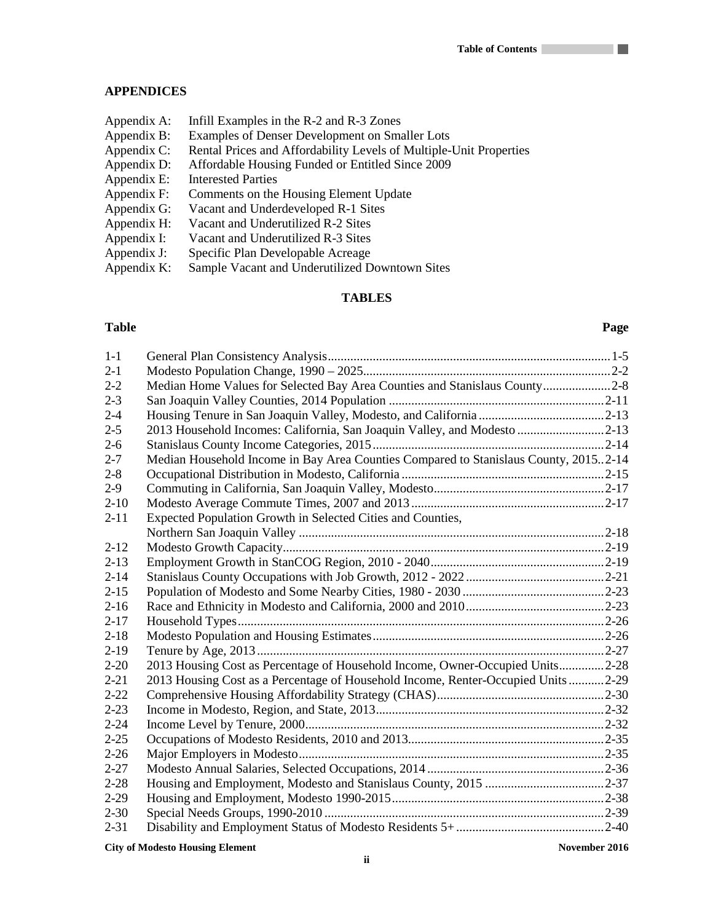### **APPENDICES**

| Infill Examples in the R-2 and R-3 Zones                           |
|--------------------------------------------------------------------|
| Examples of Denser Development on Smaller Lots                     |
| Rental Prices and Affordability Levels of Multiple-Unit Properties |
| Affordable Housing Funded or Entitled Since 2009                   |
| <b>Interested Parties</b>                                          |
| Comments on the Housing Element Update                             |
| Vacant and Underdeveloped R-1 Sites                                |
| Vacant and Underutilized R-2 Sites                                 |
| Vacant and Underutilized R-3 Sites                                 |
| Specific Plan Developable Acreage                                  |
| Sample Vacant and Underutilized Downtown Sites                     |
|                                                                    |

### **TABLES**

#### **Table Page**

a ka

| $1-1$    |                                                                                      |  |
|----------|--------------------------------------------------------------------------------------|--|
| $2 - 1$  |                                                                                      |  |
| $2 - 2$  | Median Home Values for Selected Bay Area Counties and Stanislaus County2-8           |  |
| $2 - 3$  |                                                                                      |  |
| $2 - 4$  |                                                                                      |  |
| $2 - 5$  | 2013 Household Incomes: California, San Joaquin Valley, and Modesto 2-13             |  |
| $2 - 6$  |                                                                                      |  |
| $2 - 7$  | Median Household Income in Bay Area Counties Compared to Stanislaus County, 20152-14 |  |
| $2 - 8$  |                                                                                      |  |
| $2-9$    |                                                                                      |  |
| $2 - 10$ |                                                                                      |  |
| $2 - 11$ | Expected Population Growth in Selected Cities and Counties,                          |  |
|          |                                                                                      |  |
| $2 - 12$ |                                                                                      |  |
| $2 - 13$ |                                                                                      |  |
| $2 - 14$ |                                                                                      |  |
| $2 - 15$ |                                                                                      |  |
| $2 - 16$ |                                                                                      |  |
| $2 - 17$ |                                                                                      |  |
| $2 - 18$ |                                                                                      |  |
| $2-19$   |                                                                                      |  |
| $2 - 20$ | 2013 Housing Cost as Percentage of Household Income, Owner-Occupied Units2-28        |  |
| $2 - 21$ | 2013 Housing Cost as a Percentage of Household Income, Renter-Occupied Units2-29     |  |
| $2 - 22$ |                                                                                      |  |
| $2 - 23$ |                                                                                      |  |
| $2 - 24$ |                                                                                      |  |
| $2 - 25$ |                                                                                      |  |
| $2 - 26$ |                                                                                      |  |
| $2 - 27$ |                                                                                      |  |
| $2 - 28$ |                                                                                      |  |
| $2 - 29$ |                                                                                      |  |
| $2 - 30$ |                                                                                      |  |
| $2 - 31$ |                                                                                      |  |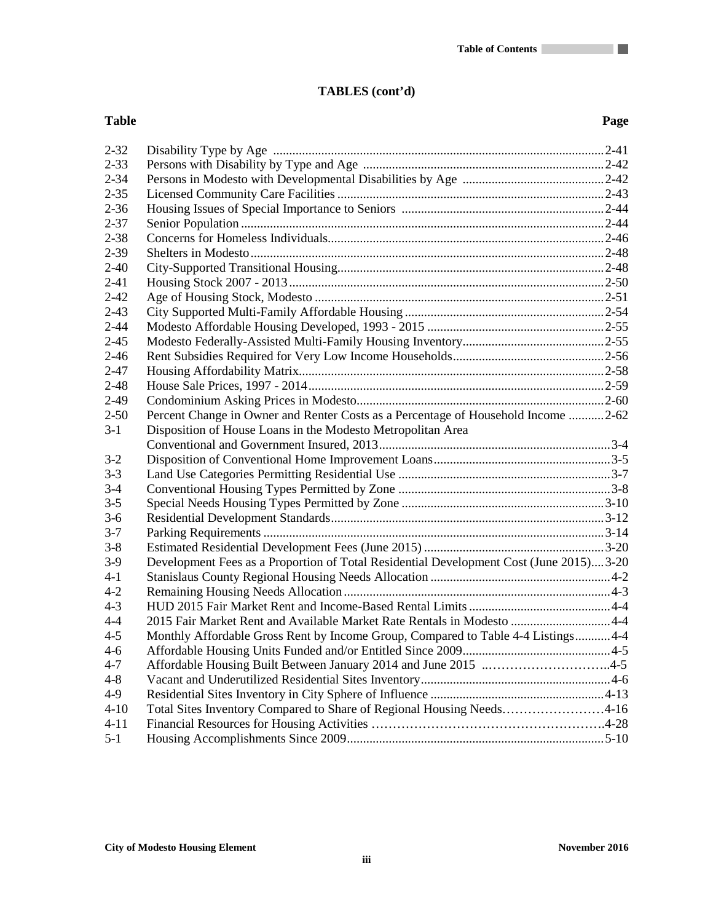### **TABLES (cont'd)**

#### **Table Page**

a pr

| $2 - 32$ |                                                                                        |
|----------|----------------------------------------------------------------------------------------|
| $2 - 33$ |                                                                                        |
| $2 - 34$ |                                                                                        |
| $2 - 35$ |                                                                                        |
| $2 - 36$ |                                                                                        |
| $2 - 37$ |                                                                                        |
| $2 - 38$ |                                                                                        |
| $2 - 39$ |                                                                                        |
| $2 - 40$ |                                                                                        |
| $2 - 41$ |                                                                                        |
| $2 - 42$ |                                                                                        |
| $2 - 43$ |                                                                                        |
| $2 - 44$ |                                                                                        |
| $2 - 45$ |                                                                                        |
| $2 - 46$ |                                                                                        |
| $2 - 47$ |                                                                                        |
| $2 - 48$ |                                                                                        |
| $2-49$   |                                                                                        |
| $2 - 50$ | Percent Change in Owner and Renter Costs as a Percentage of Household Income 2-62      |
| $3-1$    | Disposition of House Loans in the Modesto Metropolitan Area                            |
|          |                                                                                        |
| $3-2$    |                                                                                        |
| $3 - 3$  |                                                                                        |
| $3-4$    |                                                                                        |
| $3 - 5$  |                                                                                        |
| $3-6$    |                                                                                        |
| $3 - 7$  |                                                                                        |
| $3 - 8$  |                                                                                        |
| $3-9$    | Development Fees as a Proportion of Total Residential Development Cost (June 2015)3-20 |
| $4 - 1$  |                                                                                        |
| $4 - 2$  |                                                                                        |
| $4 - 3$  |                                                                                        |
| $4 - 4$  | 2015 Fair Market Rent and Available Market Rate Rentals in Modesto  4-4                |
| $4 - 5$  | Monthly Affordable Gross Rent by Income Group, Compared to Table 4-4 Listings 4-4      |
| $4 - 6$  |                                                                                        |
| $4 - 7$  | Affordable Housing Built Between January 2014 and June 2015 4-5                        |
| $4 - 8$  |                                                                                        |
| $4 - 9$  |                                                                                        |
| $4 - 10$ | Total Sites Inventory Compared to Share of Regional Housing Needs4-16                  |
| $4 - 11$ |                                                                                        |
| $5-1$    |                                                                                        |